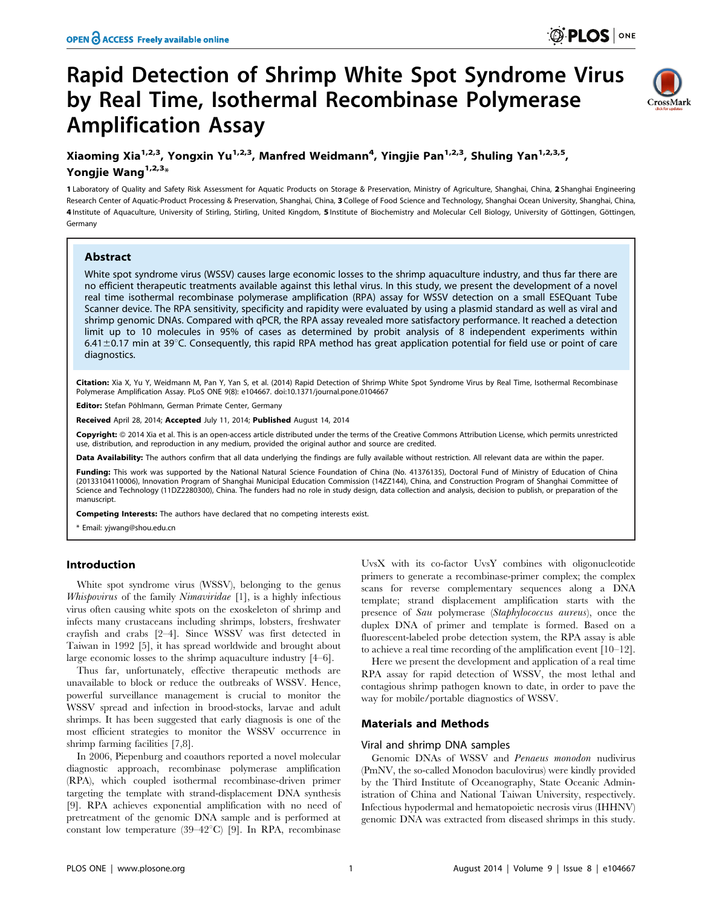# Rapid Detection of Shrimp White Spot Syndrome Virus by Real Time, Isothermal Recombinase Polymerase Amplification Assay



## Xiaoming Xia<sup>1,2,3</sup>, Yongxin Yu<sup>1,2,3</sup>, Manfred Weidmann<sup>4</sup>, Yingjie Pan<sup>1,2,3</sup>, Shuling Yan<sup>1,2,3,5</sup>, Yongjie Wang<sup>1,2,3\*</sup>

1 Laboratory of Quality and Safety Risk Assessment for Aquatic Products on Storage & Preservation, Ministry of Agriculture, Shanghai, China, 2 Shanghai Engineering Research Center of Aquatic-Product Processing & Preservation, Shanghai, China, 3 College of Food Science and Technology, Shanghai Ocean University, Shanghai, China, 4 Institute of Aquaculture, University of Stirling, Stirling, United Kingdom, 5 Institute of Biochemistry and Molecular Cell Biology, University of Göttingen, Göttingen, Germany

## Abstract

White spot syndrome virus (WSSV) causes large economic losses to the shrimp aquaculture industry, and thus far there are no efficient therapeutic treatments available against this lethal virus. In this study, we present the development of a novel real time isothermal recombinase polymerase amplification (RPA) assay for WSSV detection on a small ESEQuant Tube Scanner device. The RPA sensitivity, specificity and rapidity were evaluated by using a plasmid standard as well as viral and shrimp genomic DNAs. Compared with qPCR, the RPA assay revealed more satisfactory performance. It reached a detection limit up to 10 molecules in 95% of cases as determined by probit analysis of 8 independent experiments within 6.41 $\pm$ 0.17 min at 39°C. Consequently, this rapid RPA method has great application potential for field use or point of care diagnostics.

Citation: Xia X, Yu Y, Weidmann M, Pan Y, Yan S, et al. (2014) Rapid Detection of Shrimp White Spot Syndrome Virus by Real Time, Isothermal Recombinase Polymerase Amplification Assay. PLoS ONE 9(8): e104667. doi:10.1371/journal.pone.0104667

Editor: Stefan Pöhlmann, German Primate Center, Germany

Received April 28, 2014; Accepted July 11, 2014; Published August 14, 2014

Copyright: @ 2014 Xia et al. This is an open-access article distributed under the terms of the [Creative Commons Attribution License,](http://creativecommons.org/licenses/by/4.0/) which permits unrestricted use, distribution, and reproduction in any medium, provided the original author and source are credited.

Data Availability: The authors confirm that all data underlying the findings are fully available without restriction. All relevant data are within the paper.

Funding: This work was supported by the National Natural Science Foundation of China (No. 41376135), Doctoral Fund of Ministry of Education of China (20133104110006), Innovation Program of Shanghai Municipal Education Commission (14ZZ144), China, and Construction Program of Shanghai Committee of Science and Technology (11DZ2280300), China. The funders had no role in study design, data collection and analysis, decision to publish, or preparation of the manuscript.

Competing Interests: The authors have declared that no competing interests exist.

\* Email: yjwang@shou.edu.cn

## Introduction

White spot syndrome virus (WSSV), belonging to the genus Whispovirus of the family Nimaviridae [1], is a highly infectious virus often causing white spots on the exoskeleton of shrimp and infects many crustaceans including shrimps, lobsters, freshwater crayfish and crabs [2–4]. Since WSSV was first detected in Taiwan in 1992 [5], it has spread worldwide and brought about large economic losses to the shrimp aquaculture industry [4–6].

Thus far, unfortunately, effective therapeutic methods are unavailable to block or reduce the outbreaks of WSSV. Hence, powerful surveillance management is crucial to monitor the WSSV spread and infection in brood-stocks, larvae and adult shrimps. It has been suggested that early diagnosis is one of the most efficient strategies to monitor the WSSV occurrence in shrimp farming facilities [7,8].

In 2006, Piepenburg and coauthors reported a novel molecular diagnostic approach, recombinase polymerase amplification (RPA), which coupled isothermal recombinase-driven primer targeting the template with strand-displacement DNA synthesis [9]. RPA achieves exponential amplification with no need of pretreatment of the genomic DNA sample and is performed at constant low temperature  $(39-42^{\circ}\text{C})$  [9]. In RPA, recombinase

UvsX with its co-factor UvsY combines with oligonucleotide primers to generate a recombinase-primer complex; the complex scans for reverse complementary sequences along a DNA template; strand displacement amplification starts with the presence of Sau polymerase (Staphylococcus aureus), once the duplex DNA of primer and template is formed. Based on a fluorescent-labeled probe detection system, the RPA assay is able to achieve a real time recording of the amplification event [10–12].

Here we present the development and application of a real time RPA assay for rapid detection of WSSV, the most lethal and contagious shrimp pathogen known to date, in order to pave the way for mobile/portable diagnostics of WSSV.

## Materials and Methods

#### Viral and shrimp DNA samples

Genomic DNAs of WSSV and Penaeus monodon nudivirus (PmNV, the so-called Monodon baculovirus) were kindly provided by the Third Institute of Oceanography, State Oceanic Administration of China and National Taiwan University, respectively. Infectious hypodermal and hematopoietic necrosis virus (IHHNV) genomic DNA was extracted from diseased shrimps in this study.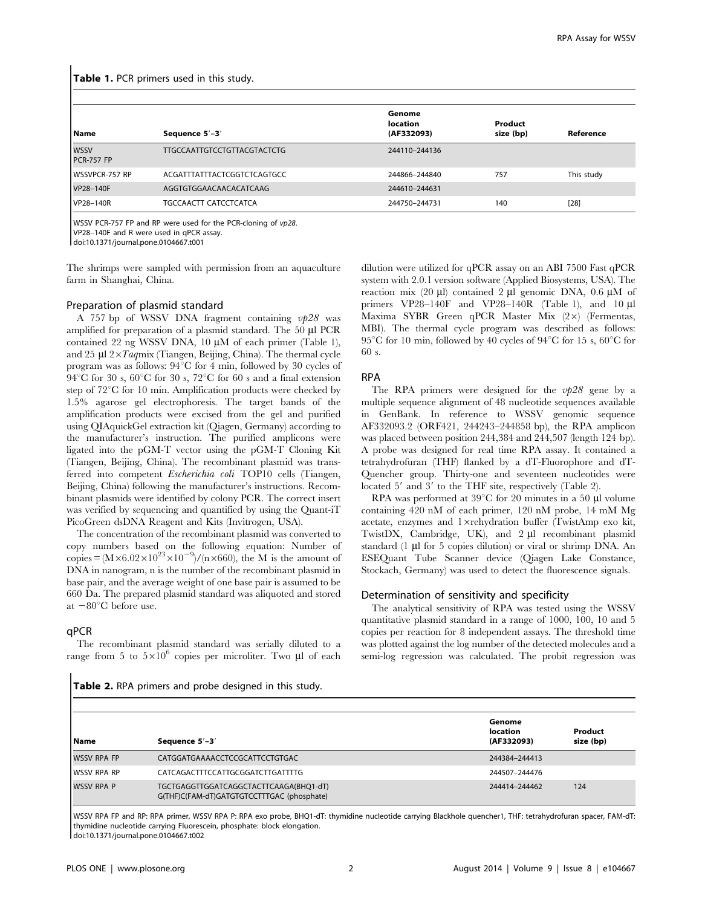| l Name                           | Sequence 5'-3'                     | Genome<br><b>location</b><br>(AF332093) | Product<br>size (bp) | Reference  |
|----------------------------------|------------------------------------|-----------------------------------------|----------------------|------------|
| <b>WSSV</b><br><b>PCR-757 FP</b> | <b>TTGCCAATTGTCCTGTTACGTACTCTG</b> | 244110-244136                           |                      |            |
| <b>WSSVPCR-757 RP</b>            | ACGATTTATTTACTCGGTCTCAGTGCC        | 244866-244840                           | 757                  | This study |
| VP28-140F                        | AGGTGTGGAACAACACATCAAG             | 244610-244631                           |                      |            |
| VP28-140R                        | TGCCAACTT CATCCTCATCA              | 244750-244731                           | 140                  | $[28]$     |

Table 1. PCR primers used in this study.

WSSV PCR-757 FP and RP were used for the PCR-cloning of vp28.

VP28–140F and R were used in qPCR assay.

doi:10.1371/journal.pone.0104667.t001

The shrimps were sampled with permission from an aquaculture farm in Shanghai, China.

### Preparation of plasmid standard

A 757 bp of WSSV DNA fragment containing  $v/28$  was amplified for preparation of a plasmid standard. The 50 µl PCR contained 22 ng WSSV DNA, 10  $\mu$ M of each primer (Table 1), and 25  $\mu$ l 2×Taqmix (Tiangen, Beijing, China). The thermal cycle program was as follows:  $94^{\circ}$ C for 4 min, followed by 30 cycles of 94 °C for 30 s,  $60^{\circ}$ C for 30 s,  $72^{\circ}$ C for 60 s and a final extension step of  $72^{\circ}$ C for 10 min. Amplification products were checked by 1.5% agarose gel electrophoresis. The target bands of the amplification products were excised from the gel and purified using QIAquickGel extraction kit (Qiagen, Germany) according to the manufacturer's instruction. The purified amplicons were ligated into the pGM-T vector using the pGM-T Cloning Kit (Tiangen, Beijing, China). The recombinant plasmid was transferred into competent Escherichia coli TOP10 cells (Tiangen, Beijing, China) following the manufacturer's instructions. Recombinant plasmids were identified by colony PCR. The correct insert was verified by sequencing and quantified by using the Quant-iT PicoGreen dsDNA Reagent and Kits (Invitrogen, USA).

The concentration of the recombinant plasmid was converted to copy numbers based on the following equation: Number of copies =  $(M \times 6.02 \times 10^{23} \times 10^{-9})/(n \times 660)$ , the M is the amount of DNA in nanogram, n is the number of the recombinant plasmid in base pair, and the average weight of one base pair is assumed to be 660 Da. The prepared plasmid standard was aliquoted and stored at  $-80^{\circ}$ C before use.

#### qPCR

The recombinant plasmid standard was serially diluted to a range from 5 to  $5\times10^6$  copies per microliter. Two ull of each dilution were utilized for qPCR assay on an ABI 7500 Fast qPCR system with 2.0.1 version software (Applied Biosystems, USA). The reaction mix (20  $\mu$ I) contained 2  $\mu$ I genomic DNA, 0.6  $\mu$ M of primers VP28-140F and VP28-140R (Table 1), and 10 µl Maxima SYBR Green qPCR Master Mix  $(2\times)$  (Fermentas, MBI). The thermal cycle program was described as follows: 95<sup>°</sup>C for 10 min, followed by 40 cycles of 94<sup>°</sup>C for 15 s, 60<sup>°</sup>C for 60 s.

### RPA

The RPA primers were designed for the  $v/28$  gene by a multiple sequence alignment of 48 nucleotide sequences available in GenBank. In reference to WSSV genomic sequence AF332093.2 (ORF421, 244243–244858 bp), the RPA amplicon was placed between position 244,384 and 244,507 (length 124 bp). A probe was designed for real time RPA assay. It contained a tetrahydrofuran (THF) flanked by a dT-Fluorophore and dT-Quencher group. Thirty-one and seventeen nucleotides were located  $5'$  and  $3'$  to the THF site, respectively (Table 2).

RPA was performed at  $39^{\circ}$ C for 20 minutes in a 50 µl volume containing 420 nM of each primer, 120 nM probe, 14 mM Mg acetate, enzymes and  $1 \times$ rehydration buffer (TwistAmp exo kit, TwistDX, Cambridge, UK), and  $2 \mu l$  recombinant plasmid standard  $(1 \mu)$  for 5 copies dilution) or viral or shrimp DNA. An ESEQuant Tube Scanner device (Qiagen Lake Constance, Stockach, Germany) was used to detect the fluorescence signals.

### Determination of sensitivity and specificity

The analytical sensitivity of RPA was tested using the WSSV quantitative plasmid standard in a range of 1000, 100, 10 and 5 copies per reaction for 8 independent assays. The threshold time was plotted against the log number of the detected molecules and a semi-log regression was calculated. The probit regression was

Table 2. RPA primers and probe designed in this study.

| l Name             | Sequence 5'-3'                                                                       | Genome<br><b>location</b><br>(AF332093) | Product<br>size (bp) |
|--------------------|--------------------------------------------------------------------------------------|-----------------------------------------|----------------------|
| <b>WSSV RPA FP</b> | CATGGATGAAAACCTCCGCATTCCTGTGAC                                                       | 244384-244413                           |                      |
| I WSSV RPA RP      | CATCAGACTTTCCATTGCGGATCTTGATTTTG                                                     | 244507-244476                           |                      |
| <b>WSSV RPA P</b>  | TGCTGAGGTTGGATCAGGCTACTTCAAGA(BHQ1-dT)<br>G(THF)C(FAM-dT)GATGTGTCCTTTGAC (phosphate) | 244414-244462                           | 124                  |

WSSV RPA FP and RP: RPA primer, WSSV RPA P: RPA exo probe, BHQ1-dT: thymidine nucleotide carrying Blackhole quencher1, THF: tetrahydrofuran spacer, FAM-dT: thymidine nucleotide carrying Fluorescein, phosphate: block elongation. doi:10.1371/journal.pone.0104667.t002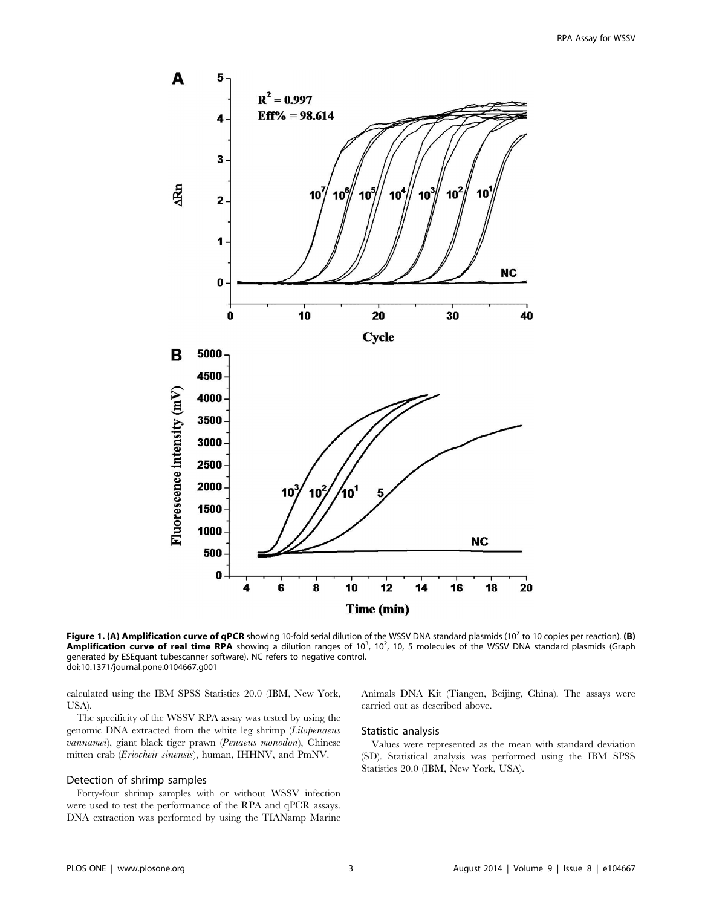

Figure 1. (A) Amplification curve of qPCR showing 10-fold serial dilution of the WSSV DNA standard plasmids (10<sup>7</sup> to 10 copies per reaction). (B) Amplification curve of real time RPA showing a dilution ranges of 10<sup>3</sup>, 10<sup>2</sup>, 10, 5 molecules of the WSSV DNA standard plasmids (Graph generated by ESEquant tubescanner software). NC refers to negative control. doi:10.1371/journal.pone.0104667.g001

calculated using the IBM SPSS Statistics 20.0 (IBM, New York, USA).

The specificity of the WSSV RPA assay was tested by using the genomic DNA extracted from the white leg shrimp (Litopenaeus vannamei), giant black tiger prawn (Penaeus monodon), Chinese mitten crab (Eriocheir sinensis), human, IHHNV, and PmNV.

#### Detection of shrimp samples

Forty-four shrimp samples with or without WSSV infection were used to test the performance of the RPA and qPCR assays. DNA extraction was performed by using the TIANamp Marine Animals DNA Kit (Tiangen, Beijing, China). The assays were carried out as described above.

## Statistic analysis

Values were represented as the mean with standard deviation (SD). Statistical analysis was performed using the IBM SPSS Statistics 20.0 (IBM, New York, USA).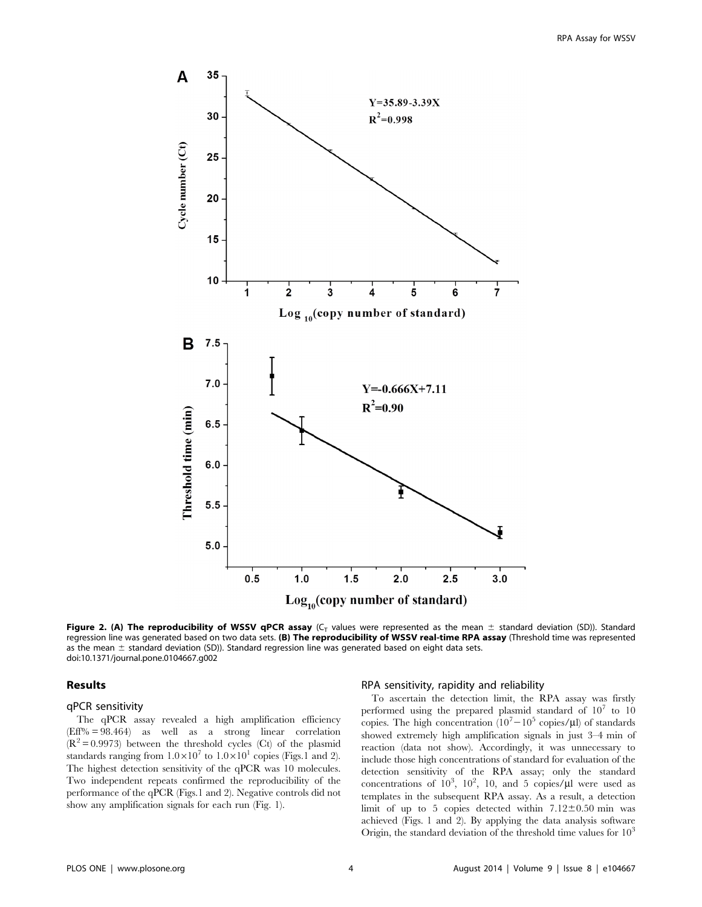

Figure 2. (A) The reproducibility of WSSV qPCR assay ( $C_T$  values were represented as the mean  $\pm$  standard deviation (SD)). Standard regression line was generated based on two data sets. (B) The reproducibility of WSSV real-time RPA assay (Threshold time was represented as the mean  $\pm$  standard deviation (SD)). Standard regression line was generated based on eight data sets. doi:10.1371/journal.pone.0104667.g002

## Results

## qPCR sensitivity

The qPCR assay revealed a high amplification efficiency (Eff% = 98.464) as well as a strong linear correlation  $(R^2 = 0.9973)$  between the threshold cycles (Ct) of the plasmid standards ranging from  $1.0 \times 10^7$  to  $1.0 \times 10^1$  copies (Figs.1 and 2). The highest detection sensitivity of the qPCR was 10 molecules. Two independent repeats confirmed the reproducibility of the performance of the qPCR (Figs.1 and 2). Negative controls did not show any amplification signals for each run (Fig. 1).

#### RPA sensitivity, rapidity and reliability

To ascertain the detection limit, the RPA assay was firstly performed using the prepared plasmid standard of  $10^7$  to 10 copies. The high concentration  $(10^7 - 10^5 \text{ copies/}\mu\text{I})$  of standards showed extremely high amplification signals in just 3–4 min of reaction (data not show). Accordingly, it was unnecessary to include those high concentrations of standard for evaluation of the detection sensitivity of the RPA assay; only the standard concentrations of  $10^3$ ,  $10^2$ , 10, and 5 copies/ $\mu$ l were used as templates in the subsequent RPA assay. As a result, a detection limit of up to 5 copies detected within  $7.12\pm0.50$  min was achieved (Figs. 1 and 2). By applying the data analysis software Origin, the standard deviation of the threshold time values for  $10<sup>3</sup>$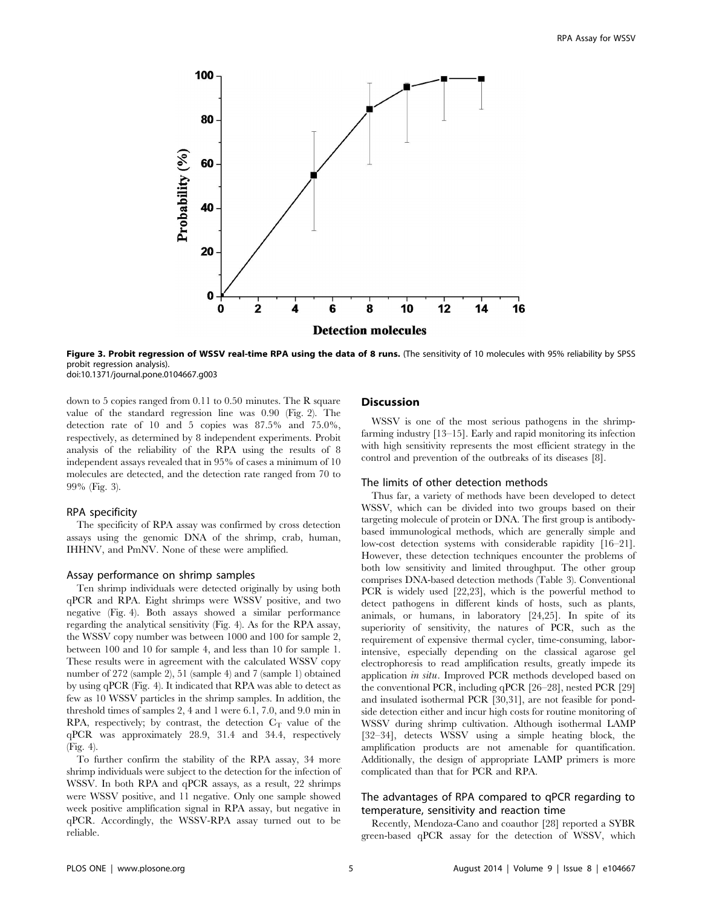

Figure 3. Probit regression of WSSV real-time RPA using the data of 8 runs. (The sensitivity of 10 molecules with 95% reliability by SPSS probit regression analysis). doi:10.1371/journal.pone.0104667.g003

down to 5 copies ranged from 0.11 to 0.50 minutes. The R square value of the standard regression line was 0.90 (Fig. 2). The detection rate of 10 and 5 copies was 87.5% and 75.0%, respectively, as determined by 8 independent experiments. Probit analysis of the reliability of the RPA using the results of 8 independent assays revealed that in 95% of cases a minimum of 10 molecules are detected, and the detection rate ranged from 70 to 99% (Fig. 3).

#### RPA specificity

The specificity of RPA assay was confirmed by cross detection assays using the genomic DNA of the shrimp, crab, human, IHHNV, and PmNV. None of these were amplified.

#### Assay performance on shrimp samples

Ten shrimp individuals were detected originally by using both qPCR and RPA. Eight shrimps were WSSV positive, and two negative (Fig. 4). Both assays showed a similar performance regarding the analytical sensitivity (Fig. 4). As for the RPA assay, the WSSV copy number was between 1000 and 100 for sample 2, between 100 and 10 for sample 4, and less than 10 for sample 1. These results were in agreement with the calculated WSSV copy number of 272 (sample 2), 51 (sample 4) and 7 (sample 1) obtained by using qPCR (Fig. 4). It indicated that RPA was able to detect as few as 10 WSSV particles in the shrimp samples. In addition, the threshold times of samples 2, 4 and 1 were 6.1, 7.0, and 9.0 min in  $RPA$ , respectively; by contrast, the detection  $C_T$  value of the qPCR was approximately 28.9, 31.4 and 34.4, respectively (Fig. 4).

To further confirm the stability of the RPA assay, 34 more shrimp individuals were subject to the detection for the infection of WSSV. In both RPA and qPCR assays, as a result, 22 shrimps were WSSV positive, and 11 negative. Only one sample showed week positive amplification signal in RPA assay, but negative in qPCR. Accordingly, the WSSV-RPA assay turned out to be reliable.

#### Discussion

WSSV is one of the most serious pathogens in the shrimpfarming industry [13–15]. Early and rapid monitoring its infection with high sensitivity represents the most efficient strategy in the control and prevention of the outbreaks of its diseases [8].

#### The limits of other detection methods

Thus far, a variety of methods have been developed to detect WSSV, which can be divided into two groups based on their targeting molecule of protein or DNA. The first group is antibodybased immunological methods, which are generally simple and low-cost detection systems with considerable rapidity [16–21]. However, these detection techniques encounter the problems of both low sensitivity and limited throughput. The other group comprises DNA-based detection methods (Table 3). Conventional PCR is widely used [22,23], which is the powerful method to detect pathogens in different kinds of hosts, such as plants, animals, or humans, in laboratory [24,25]. In spite of its superiority of sensitivity, the natures of PCR, such as the requirement of expensive thermal cycler, time-consuming, laborintensive, especially depending on the classical agarose gel electrophoresis to read amplification results, greatly impede its application in situ. Improved PCR methods developed based on the conventional PCR, including qPCR [26–28], nested PCR [29] and insulated isothermal PCR [30,31], are not feasible for pondside detection either and incur high costs for routine monitoring of WSSV during shrimp cultivation. Although isothermal LAMP [32–34], detects WSSV using a simple heating block, the amplification products are not amenable for quantification. Additionally, the design of appropriate LAMP primers is more complicated than that for PCR and RPA.

## The advantages of RPA compared to qPCR regarding to temperature, sensitivity and reaction time

Recently, Mendoza-Cano and coauthor [28] reported a SYBR green-based qPCR assay for the detection of WSSV, which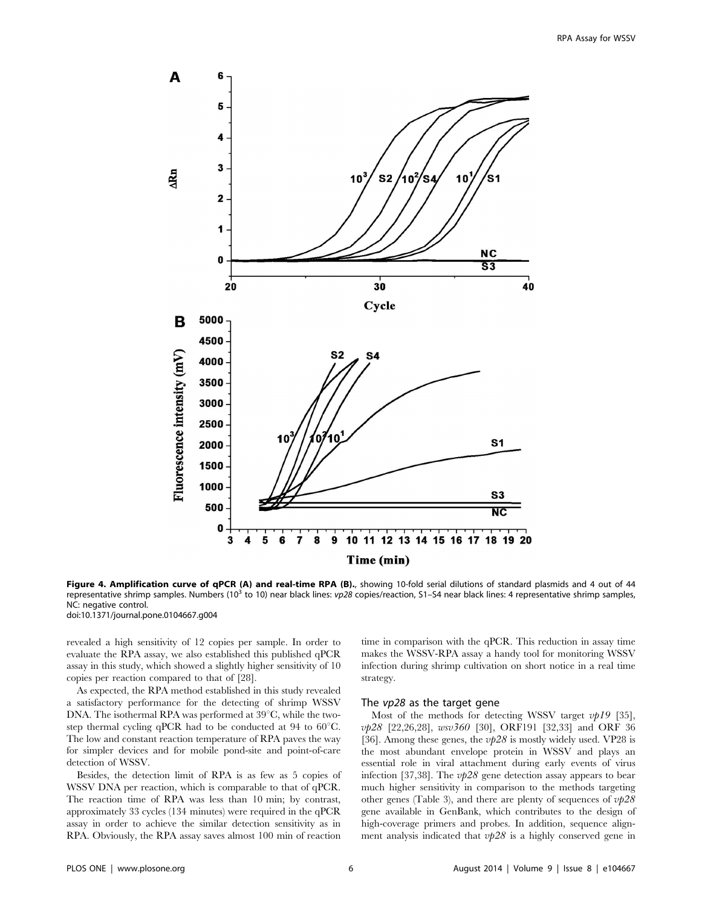

Figure 4. Amplification curve of qPCR (A) and real-time RPA (B)., showing 10-fold serial dilutions of standard plasmids and 4 out of 44 representative shrimp samples. Numbers (10<sup>3</sup> to 10) near black lines:  $v p 28$  copies/reaction, S1-S4 near black lines: 4 representative shrimp samples, NC: negative control.

doi:10.1371/journal.pone.0104667.g004

revealed a high sensitivity of 12 copies per sample. In order to evaluate the RPA assay, we also established this published qPCR assay in this study, which showed a slightly higher sensitivity of 10 copies per reaction compared to that of [28].

As expected, the RPA method established in this study revealed a satisfactory performance for the detecting of shrimp WSSV DNA. The isothermal RPA was performed at  $39^{\circ}$ C, while the twostep thermal cycling qPCR had to be conducted at 94 to  $60^{\circ}$ C. The low and constant reaction temperature of RPA paves the way for simpler devices and for mobile pond-site and point-of-care detection of WSSV.

Besides, the detection limit of RPA is as few as 5 copies of WSSV DNA per reaction, which is comparable to that of qPCR. The reaction time of RPA was less than 10 min; by contrast, approximately 33 cycles (134 minutes) were required in the qPCR assay in order to achieve the similar detection sensitivity as in RPA. Obviously, the RPA assay saves almost 100 min of reaction

time in comparison with the qPCR. This reduction in assay time makes the WSSV-RPA assay a handy tool for monitoring WSSV infection during shrimp cultivation on short notice in a real time strategy.

#### The vp28 as the target gene

Most of the methods for detecting WSSV target  $vpl9$  [35], vp28 [22,26,28], wsv360 [30], ORF191 [32,33] and ORF 36 [36]. Among these genes, the  $\nu/28$  is mostly widely used. VP28 is the most abundant envelope protein in WSSV and plays an essential role in viral attachment during early events of virus infection [37,38]. The  $\nu p28$  gene detection assay appears to bear much higher sensitivity in comparison to the methods targeting other genes (Table 3), and there are plenty of sequences of  $v/28$ gene available in GenBank, which contributes to the design of high-coverage primers and probes. In addition, sequence alignment analysis indicated that  $\nu p28$  is a highly conserved gene in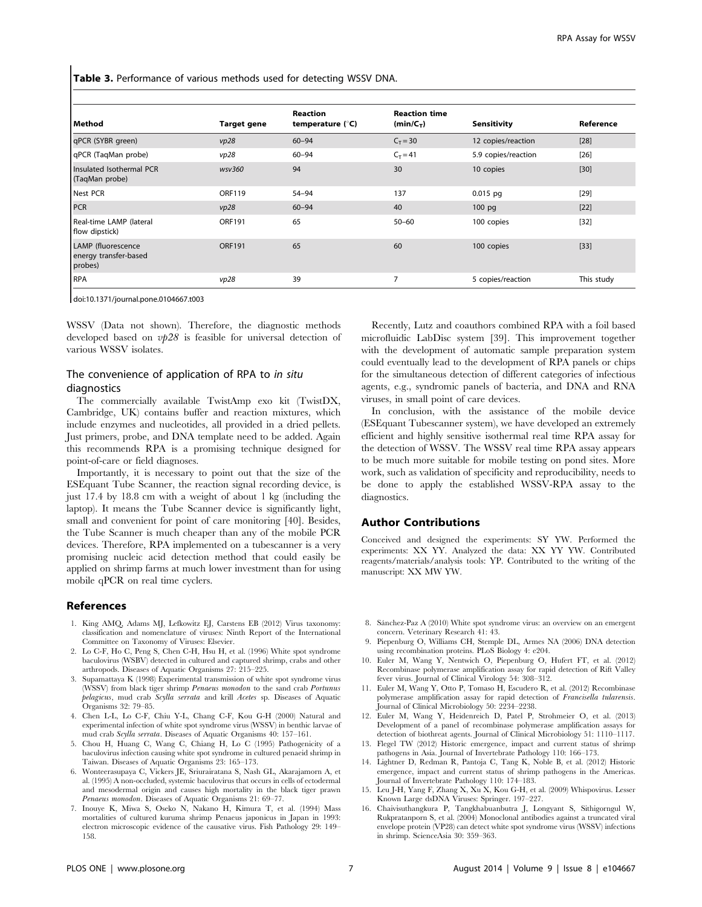Table 3. Performance of various methods used for detecting WSSV DNA.

| Method                                                 | <b>Target gene</b> | <b>Reaction</b><br>temperature (°C) | <b>Reaction time</b><br>$(min/C_T)$ | <b>Sensitivity</b>  | Reference  |
|--------------------------------------------------------|--------------------|-------------------------------------|-------------------------------------|---------------------|------------|
| qPCR (SYBR green)                                      | vp28               | $60 - 94$                           | $C_T = 30$                          | 12 copies/reaction  | $[28]$     |
| qPCR (TaqMan probe)                                    | vp28               | $60 - 94$                           | $C_T = 41$                          | 5.9 copies/reaction | $[26]$     |
| Insulated Isothermal PCR<br>(TaqMan probe)             | wsv360             | 94                                  | 30                                  | 10 copies           | $[30]$     |
| Nest PCR                                               | <b>ORF119</b>      | $54 - 94$                           | 137                                 | $0.015$ pg          | $[29]$     |
| PCR                                                    | vp28               | $60 - 94$                           | 40                                  | $100$ pg            | $[22]$     |
| Real-time LAMP (lateral<br>flow dipstick)              | <b>ORF191</b>      | 65                                  | $50 - 60$                           | 100 copies          | $[32]$     |
| LAMP (fluorescence<br>energy transfer-based<br>probes) | <b>ORF191</b>      | 65                                  | 60                                  | 100 copies          | $[33]$     |
| <b>RPA</b>                                             | vp28               | 39                                  | 7                                   | 5 copies/reaction   | This study |

doi:10.1371/journal.pone.0104667.t003

WSSV (Data not shown). Therefore, the diagnostic methods developed based on  $\nu/28$  is feasible for universal detection of various WSSV isolates.

## The convenience of application of RPA to in situ diagnostics

The commercially available TwistAmp exo kit (TwistDX, Cambridge, UK) contains buffer and reaction mixtures, which include enzymes and nucleotides, all provided in a dried pellets. Just primers, probe, and DNA template need to be added. Again this recommends RPA is a promising technique designed for point-of-care or field diagnoses.

Importantly, it is necessary to point out that the size of the ESEquant Tube Scanner, the reaction signal recording device, is just 17.4 by 18.8 cm with a weight of about 1 kg (including the laptop). It means the Tube Scanner device is significantly light, small and convenient for point of care monitoring [40]. Besides, the Tube Scanner is much cheaper than any of the mobile PCR devices. Therefore, RPA implemented on a tubescanner is a very promising nucleic acid detection method that could easily be applied on shrimp farms at much lower investment than for using mobile qPCR on real time cyclers.

#### References

- 1. King AMQ, Adams MJ, Lefkowitz EJ, Carstens EB (2012) Virus taxonomy: classification and nomenclature of viruses: Ninth Report of the International Committee on Taxonomy of Viruses: Elsevier.
- 2. Lo C-F, Ho C, Peng S, Chen C-H, Hsu H, et al. (1996) White spot syndrome baculovirus (WSBV) detected in cultured and captured shrimp, crabs and other arthropods. Diseases of Aquatic Organisms 27: 215–225.
- 3. Supamattaya K (1998) Experimental transmission of white spot syndrome virus (WSSV) from black tiger shrimp Penaeus monodon to the sand crab Portunus pelagicus, mud crab Scylla serrata and krill Acetes sp. Diseases of Aquatic Organisms 32: 79–85.
- 4. Chen L-L, Lo C-F, Chiu Y-L, Chang C-F, Kou G-H (2000) Natural and experimental infection of white spot syndrome virus (WSSV) in benthic larvae of mud crab Scylla serrata. Diseases of Aquatic Organisms 40: 157–161.
- 5. Chou H, Huang C, Wang C, Chiang H, Lo C (1995) Pathogenicity of a baculovirus infection causing white spot syndrome in cultured penaeid shrimp in Taiwan. Diseases of Aquatic Organisms 23: 165–173.
- 6. Wonteerasupaya C, Vickers JE, Sriurairatana S, Nash GL, Akarajamorn A, et al. (1995) A non-occluded, systemic baculovirus that occurs in cells of ectodermal and mesodermal origin and causes high mortality in the black tiger prawn Penaeus monodon. Diseases of Aquatic Organisms 21: 69–77.
- 7. Inouye K, Miwa S, Oseko N, Nakano H, Kimura T, et al. (1994) Mass mortalities of cultured kuruma shrimp Penaeus japonicus in Japan in 1993: electron microscopic evidence of the causative virus. Fish Pathology 29: 149– 158.

Recently, Lutz and coauthors combined RPA with a foil based microfluidic LabDisc system [39]. This improvement together with the development of automatic sample preparation system could eventually lead to the development of RPA panels or chips for the simultaneous detection of different categories of infectious agents, e.g., syndromic panels of bacteria, and DNA and RNA viruses, in small point of care devices.

In conclusion, with the assistance of the mobile device (ESEquant Tubescanner system), we have developed an extremely efficient and highly sensitive isothermal real time RPA assay for the detection of WSSV. The WSSV real time RPA assay appears to be much more suitable for mobile testing on pond sites. More work, such as validation of specificity and reproducibility, needs to be done to apply the established WSSV-RPA assay to the diagnostics.

#### Author Contributions

Conceived and designed the experiments: SY YW. Performed the experiments: XX YY. Analyzed the data: XX YY YW. Contributed reagents/materials/analysis tools: YP. Contributed to the writing of the manuscript: XX MW YW.

- 8. Sánchez-Paz A (2010) White spot syndrome virus: an overview on an emergent concern. Veterinary Research 41: 43.
- 9. Piepenburg O, Williams CH, Stemple DL, Armes NA (2006) DNA detection using recombination proteins. PLoS Biology 4: e204.
- 10. Euler M, Wang Y, Nentwich O, Piepenburg O, Hufert FT, et al. (2012) Recombinase polymerase amplification assay for rapid detection of Rift Valley fever virus. Journal of Clinical Virology 54: 308–312.
- 11. Euler M, Wang Y, Otto P, Tomaso H, Escudero R, et al. (2012) Recombinase polymerase amplification assay for rapid detection of Francisella tularensis. Journal of Clinical Microbiology 50: 2234–2238.
- 12. Euler M, Wang Y, Heidenreich D, Patel P, Strohmeier O, et al. (2013) Development of a panel of recombinase polymerase amplification assays for detection of biothreat agents. Journal of Clinical Microbiology 51: 1110–1117.
- 13. Flegel TW (2012) Historic emergence, impact and current status of shrimp pathogens in Asia. Journal of Invertebrate Pathology 110: 166–173. 14. Lightner D, Redman R, Pantoja C, Tang K, Noble B, et al. (2012) Historic
- emergence, impact and current status of shrimp pathogens in the Americas. Journal of Invertebrate Pathology 110: 174–183.
- 15. Leu J-H, Yang F, Zhang X, Xu X, Kou G-H, et al. (2009) Whispovirus. Lesser Known Large dsDNA Viruses: Springer. 197–227.
- 16. Chaivisuthangkura P, Tangkhabuanbutra J, Longyant S, Sithigorngul W, Rukpratanporn S, et al. (2004) Monoclonal antibodies against a truncated viral envelope protein (VP28) can detect white spot syndrome virus (WSSV) infections in shrimp. ScienceAsia 30: 359–363.